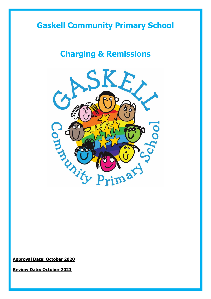## **Gaskell Community Primary School**

## **Charging & Remissions**



**Approval Date: October 2020**

**Review Date: October 2023**